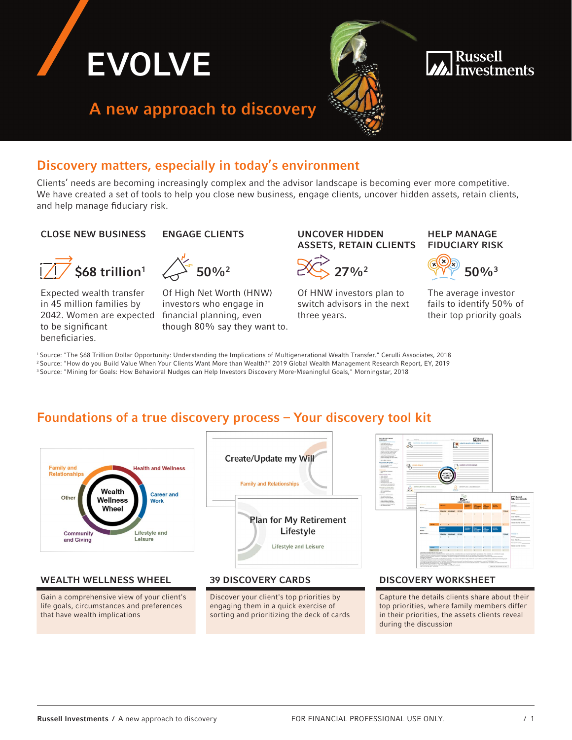

## Discovery matters, especially in today's environment

Clients' needs are becoming increasingly complex and the advisor landscape is becoming ever more competitive. We have created a set of tools to help you close new business, engage clients, uncover hidden assets, retain clients, and help manage fiduciary risk.

### CLOSE NEW BUSINESS ENGAGE CLIENTS UNCOVER HIDDEN



Expected wealth transfer in 45 million families by 2042. Women are expected financial planning, even to be significant beneficiaries.

Of High Net Worth (HNW) investors who engage in though 80% say they want to.

# ASSETS, RETAIN CLIENTS



Of HNW investors plan to switch advisors in the next three years.

### HELP MANAGE FIDUCIARY RISK



The average investor fails to identify 50% of their top priority goals

1 Source: "The \$68 Trillion Dollar Opportunity: Understanding the Implications of Multigenerational Wealth Transfer." Cerulli Associates, 2018 2 Source: "How do you Build Value When Your Clients Want More than Wealth?" 2019 Global Wealth Management Research Report, EY, 2019 3 Source: "Mining for Goals: How Behavioral Nudges can Help Investors Discovery More-Meaningful Goals," Morningstar, 2018

## Foundations of a true discovery process – Your discovery tool kit



## WEALTH WELLNESS WHEEL 39 DISCOVERY CARDS BOISCOVERY WORKSHEET

Gain a comprehensive view of your client's life goals, circumstances and preferences that have wealth implications



Discover your client's top priorities by engaging them in a quick exercise of sorting and prioritizing the deck of cards



Capture the details clients share about their top priorities, where family members differ in their priorities, the assets clients reveal during the discussion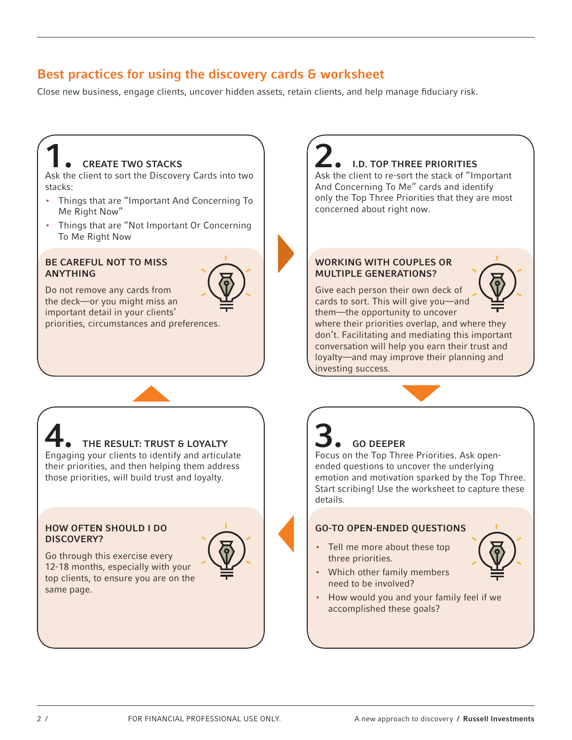## Best practices for using the discovery cards & worksheet

Close new business, engage clients, uncover hidden assets, retain clients, and help manage fiduciary risk.

### **CREATE TWO STACKS** Ask the client to sort the Discovery Cards into two stacks: • Things that are "Important And Concerning To Me Right Now" • Things that are "Not Important Or Concerning To Me Right Now 2. I.D. TOP THREE PRIORITIES Ask the client to re-sort the stack of "Important And Concerning To Me" cards and identify only the Top Three Priorities that they are most concerned about right now. BE CAREFUL NOT TO MISS ANYTHING Do not remove any cards from the deck—or you might miss an important detail in your clients' priorities, circumstances and preferences. WORKING WITH COUPLES OR MULTIPLE GENERATIONS? Give each person their own deck of cards to sort. This will give you—and them—the opportunity to uncover where their priorities overlap, and where they don't. Facilitating and mediating this important conversation will help you earn their trust and loyalty—and may improve their planning and investing success. THE RESULT: TRUST & LOYALTY Engaging your clients to identify and articulate their priorities, and then helping them address those priorities, will build trust and loyalty. 3. GO DEEPER Focus on the Top Three Priorities. Ask openended questions to uncover the underlying emotion and motivation sparked by the Top Three. Start scribing! Use the worksheet to capture these details. HOW OFTEN SHOULD I DO DISCOVERY? GO-TO OPEN-ENDED QUESTIONS

Go through this exercise every 12-18 months, especially with your top clients, to ensure you are on the same page.

three priorities. • Which other family members need to be involved?

• Tell me more about these top

• How would you and your family feel if we accomplished these goals?